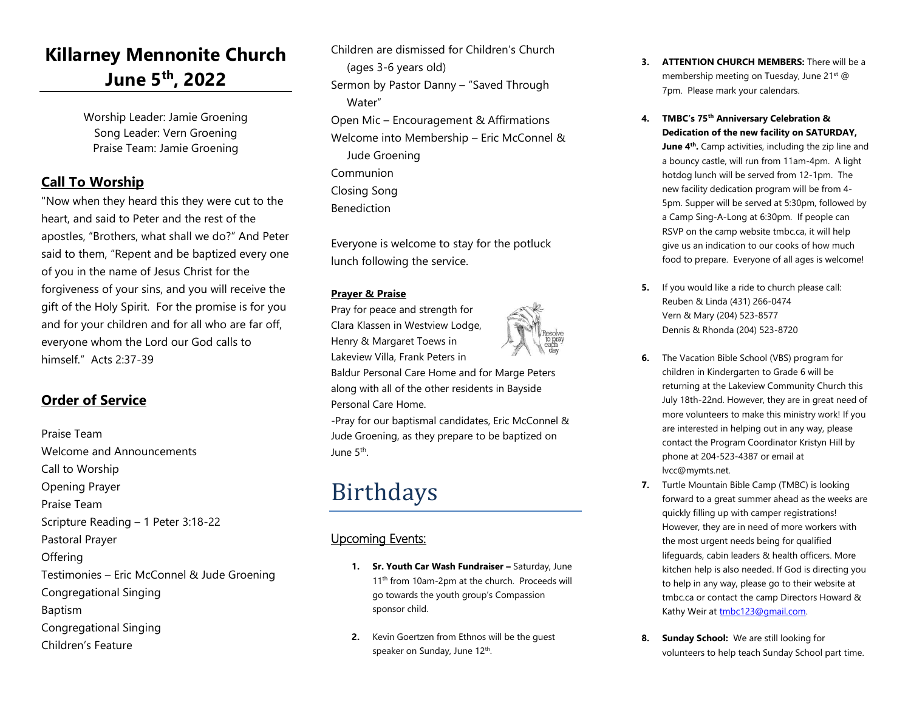### **Killarney Mennonite Church June 5th, 2022**

Worship Leader: Jamie Groening Song Leader: Vern Groening Praise Team: Jamie Groening

#### **Call To Worship**

"Now when they heard this they were cut to the heart, and said to Peter and the rest of the apostles, "Brothers, what shall we do?" And Peter said to them, "Repent and be baptized every one of you in the name of Jesus Christ for the forgiveness of your sins, and you will receive the gift of the Holy Spirit. For the promise is for you and for your children and for all who are far off, everyone whom the Lord our God calls to himself." Acts 2:37-39

#### **Order of Service**

Praise Team Welcome and Announcements Call to Worship Opening Prayer Praise Team Scripture Reading – 1 Peter 3:18-22 Pastoral Prayer **Offering** Testimonies – Eric McConnel & Jude Groening Congregational Singing Baptism Congregational Singing Children's Feature

Children are dismissed for Children's Church (ages 3-6 years old) Sermon by Pastor Danny – "Saved Through Water" Open Mic – Encouragement & Affirmations Welcome into Membership – Eric McConnel & Jude Groening Communion Closing Song Benediction

Everyone is welcome to stay for the potluck lunch following the service.

#### **Prayer & Praise**

Pray for peace and strength for Clara Klassen in Westview Lodge, Henry & Margaret Toews in Lakeview Villa, Frank Peters in

Baldur Personal Care Home and for Marge Peters along with all of the other residents in Bayside Personal Care Home.

-Pray for our baptismal candidates, Eric McConnel & Jude Groening, as they prepare to be baptized on June 5<sup>th</sup>.

## Birthdays

#### Upcoming Events:

- 1. **Sr. Youth Car Wash Fundraiser Saturday, June** 11<sup>th</sup> from 10am-2pm at the church. Proceeds will go towards the youth group's Compassion sponsor child.
- **2.** Kevin Goertzen from Ethnos will be the guest speaker on Sunday, June 12<sup>th</sup>.
- **3. ATTENTION CHURCH MEMBERS:** There will be a membership meeting on Tuesday, June 21st @ 7pm. Please mark your calendars.
- **4. TMBC's 75th Anniversary Celebration & Dedication of the new facility on SATURDAY, June 4th .** Camp activities, including the zip line and a bouncy castle, will run from 11am-4pm. A light hotdog lunch will be served from 12-1pm. The new facility dedication program will be from 4- 5pm. Supper will be served at 5:30pm, followed by a Camp Sing-A-Long at 6:30pm. If people can RSVP on the camp website tmbc.ca, it will help give us an indication to our cooks of how much food to prepare. Everyone of all ages is welcome!
- **5.** If you would like a ride to church please call: Reuben & Linda (431) 266-0474 Vern & Mary (204) 523-8577 Dennis & Rhonda (204) 523-8720
- **6.** The Vacation Bible School (VBS) program for children in Kindergarten to Grade 6 will be returning at the Lakeview Community Church this July 18th-22nd. However, they are in great need of more volunteers to make this ministry work! If you are interested in helping out in any way, please contact the Program Coordinator Kristyn Hill by phone at 204-523-4387 or email at lvcc@mymts.net.
- **7.** Turtle Mountain Bible Camp (TMBC) is looking forward to a great summer ahead as the weeks are quickly filling up with camper registrations! However, they are in need of more workers with the most urgent needs being for qualified lifeguards, cabin leaders & health officers. More kitchen help is also needed. If God is directing you to help in any way, please go to their website at tmbc.ca or contact the camp Directors Howard & Kathy Weir at [tmbc123@gmail.com.](mailto:tmbc123@gmail.c​om)
- **8. Sunday School:** We are still looking for volunteers to help teach Sunday School part time.